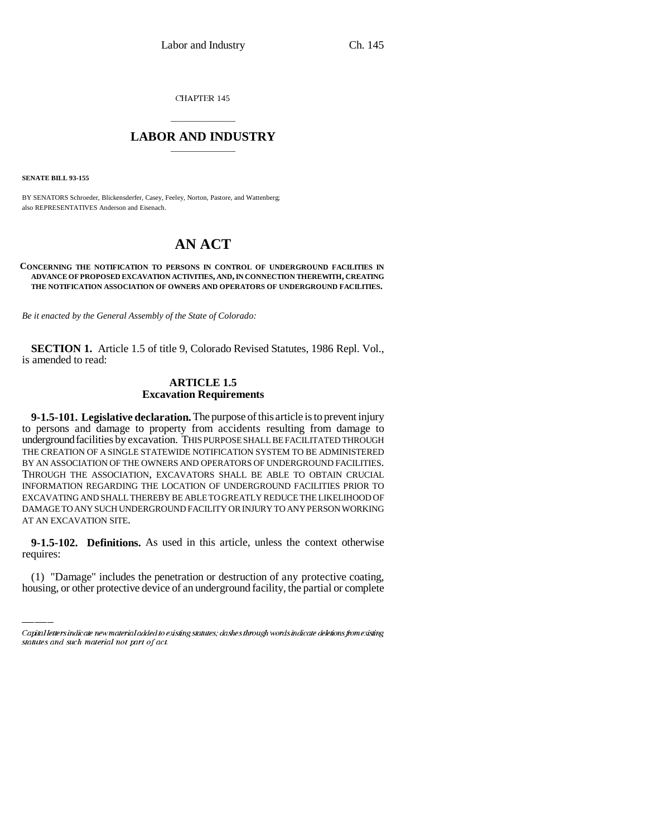CHAPTER 145

# \_\_\_\_\_\_\_\_\_\_\_\_\_\_\_ **LABOR AND INDUSTRY** \_\_\_\_\_\_\_\_\_\_\_\_\_\_\_

**SENATE BILL 93-155**

BY SENATORS Schroeder, Blickensderfer, Casey, Feeley, Norton, Pastore, and Wattenberg; also REPRESENTATIVES Anderson and Eisenach.

# **AN ACT**

### **CONCERNING THE NOTIFICATION TO PERSONS IN CONTROL OF UNDERGROUND FACILITIES IN ADVANCE OF PROPOSED EXCAVATION ACTIVITIES, AND, IN CONNECTION THEREWITH, CREATING THE NOTIFICATION ASSOCIATION OF OWNERS AND OPERATORS OF UNDERGROUND FACILITIES.**

*Be it enacted by the General Assembly of the State of Colorado:*

**SECTION 1.** Article 1.5 of title 9, Colorado Revised Statutes, 1986 Repl. Vol., is amended to read:

# **ARTICLE 1.5 Excavation Requirements**

**9-1.5-101. Legislative declaration.** The purpose of this article is to prevent injury to persons and damage to property from accidents resulting from damage to underground facilities by excavation. THIS PURPOSE SHALL BE FACILITATED THROUGH THE CREATION OF A SINGLE STATEWIDE NOTIFICATION SYSTEM TO BE ADMINISTERED BY AN ASSOCIATION OF THE OWNERS AND OPERATORS OF UNDERGROUND FACILITIES. THROUGH THE ASSOCIATION, EXCAVATORS SHALL BE ABLE TO OBTAIN CRUCIAL INFORMATION REGARDING THE LOCATION OF UNDERGROUND FACILITIES PRIOR TO EXCAVATING AND SHALL THEREBY BE ABLE TO GREATLY REDUCE THE LIKELIHOOD OF DAMAGE TO ANY SUCH UNDERGROUND FACILITY OR INJURY TO ANY PERSON WORKING AT AN EXCAVATION SITE.

 **9-1.5-102. Definitions.** As used in this article, unless the context otherwise requires:

(1) "Damage" includes the penetration or destruction of any protective coating, housing, or other protective device of an underground facility, the partial or complete

Capital letters indicate new material added to existing statutes; dashes through words indicate deletions from existing statutes and such material not part of act.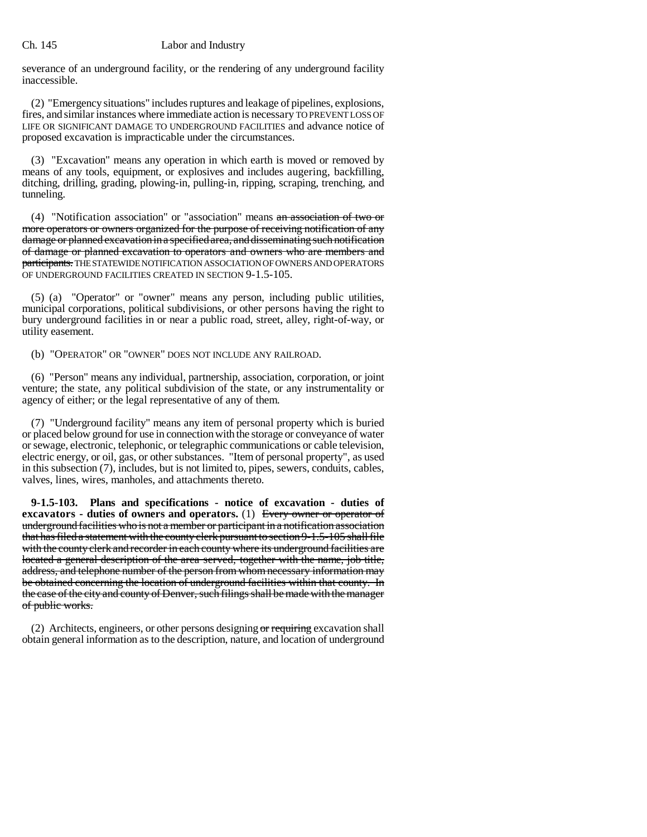## Ch. 145 Labor and Industry

severance of an underground facility, or the rendering of any underground facility inaccessible.

(2) "Emergency situations" includes ruptures and leakage of pipelines, explosions, fires, and similar instances where immediate action is necessary TO PREVENT LOSS OF LIFE OR SIGNIFICANT DAMAGE TO UNDERGROUND FACILITIES and advance notice of proposed excavation is impracticable under the circumstances.

(3) "Excavation" means any operation in which earth is moved or removed by means of any tools, equipment, or explosives and includes augering, backfilling, ditching, drilling, grading, plowing-in, pulling-in, ripping, scraping, trenching, and tunneling.

(4) "Notification association" or "association" means  $an$  association of two or more operators or owners organized for the purpose of receiving notification of any damage or planned excavation in a specified area, and disseminating such notification of damage or planned excavation to operators and owners who are members and participants. THE STATEWIDE NOTIFICATION ASSOCIATION OF OWNERS AND OPERATORS OF UNDERGROUND FACILITIES CREATED IN SECTION 9-1.5-105.

(5) (a) "Operator" or "owner" means any person, including public utilities, municipal corporations, political subdivisions, or other persons having the right to bury underground facilities in or near a public road, street, alley, right-of-way, or utility easement.

(b) "OPERATOR" OR "OWNER" DOES NOT INCLUDE ANY RAILROAD.

(6) "Person" means any individual, partnership, association, corporation, or joint venture; the state, any political subdivision of the state, or any instrumentality or agency of either; or the legal representative of any of them.

(7) "Underground facility" means any item of personal property which is buried or placed below ground for use in connection with the storage or conveyance of water or sewage, electronic, telephonic, or telegraphic communications or cable television, electric energy, or oil, gas, or other substances. "Item of personal property", as used in this subsection (7), includes, but is not limited to, pipes, sewers, conduits, cables, valves, lines, wires, manholes, and attachments thereto.

**9-1.5-103. Plans and specifications - notice of excavation - duties of excavators - duties of owners and operators.** (1) Every owner or operator of underground facilities who is not a member or participant in a notification association that has filed a statement with the county clerk pursuant to section 9-1.5-105 shall file with the county clerk and recorder in each county where its underground facilities are located a general description of the area served, together with the name, job title, address, and telephone number of the person from whom necessary information may be obtained concerning the location of underground facilities within that county. In the case of the city and county of Denver, such filings shall be made with the manager of public works.

(2) Architects, engineers, or other persons designing or requiring excavation shall obtain general information as to the description, nature, and location of underground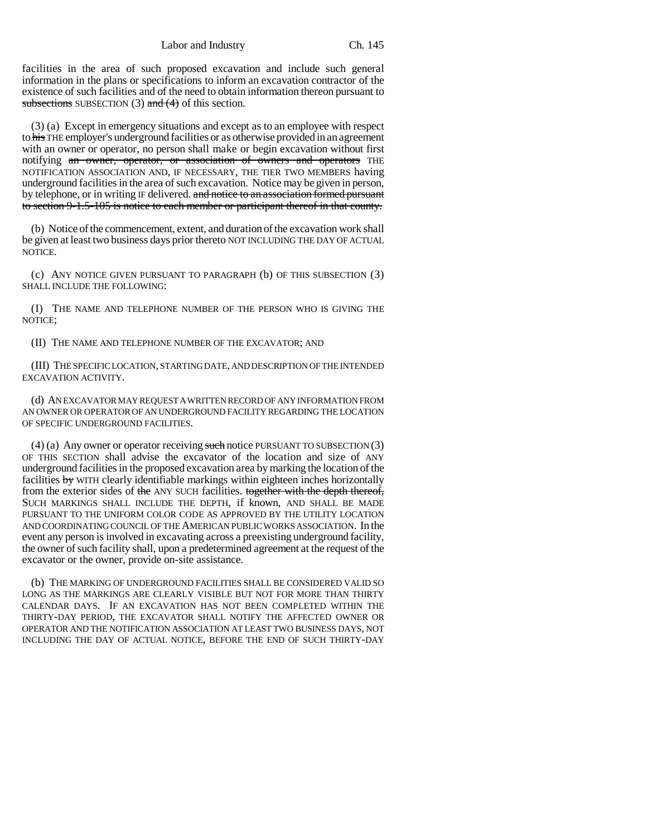Labor and Industry Ch. 145

facilities in the area of such proposed excavation and include such general information in the plans or specifications to inform an excavation contractor of the existence of such facilities and of the need to obtain information thereon pursuant to subsections SUBSECTION  $(3)$  and  $(4)$  of this section.

(3) (a) Except in emergency situations and except as to an employee with respect to his THE employer's underground facilities or as otherwise provided in an agreement with an owner or operator, no person shall make or begin excavation without first notifying an owner, operator, or association of owners and operators THE NOTIFICATION ASSOCIATION AND, IF NECESSARY, THE TIER TWO MEMBERS having underground facilities in the area of such excavation. Notice may be given in person, by telephone, or in writing IF delivered. and notice to an association formed pursuant to section 9-1.5-105 is notice to each member or participant thereof in that county.

(b) Notice of the commencement, extent, and duration of the excavation work shall be given at least two business days prior thereto NOT INCLUDING THE DAY OF ACTUAL NOTICE.

(c) ANY NOTICE GIVEN PURSUANT TO PARAGRAPH (b) OF THIS SUBSECTION (3) SHALL INCLUDE THE FOLLOWING:

(I) THE NAME AND TELEPHONE NUMBER OF THE PERSON WHO IS GIVING THE NOTICE;

(II) THE NAME AND TELEPHONE NUMBER OF THE EXCAVATOR; AND

(III) THE SPECIFIC LOCATION, STARTING DATE, AND DESCRIPTION OF THE INTENDED EXCAVATION ACTIVITY.

(d) AN EXCAVATOR MAY REQUEST A WRITTEN RECORD OF ANY INFORMATION FROM AN OWNER OR OPERATOR OF AN UNDERGROUND FACILITY REGARDING THE LOCATION OF SPECIFIC UNDERGROUND FACILITIES.

(4) (a) Any owner or operator receiving such notice PURSUANT TO SUBSECTION (3) OF THIS SECTION shall advise the excavator of the location and size of ANY underground facilities in the proposed excavation area by marking the location of the facilities by WITH clearly identifiable markings within eighteen inches horizontally from the exterior sides of the ANY SUCH facilities. together with the depth thereof, SUCH MARKINGS SHALL INCLUDE THE DEPTH, if known, AND SHALL BE MADE PURSUANT TO THE UNIFORM COLOR CODE AS APPROVED BY THE UTILITY LOCATION AND COORDINATING COUNCIL OF THE AMERICAN PUBLIC WORKS ASSOCIATION. In the event any person is involved in excavating across a preexisting underground facility, the owner of such facility shall, upon a predetermined agreement at the request of the excavator or the owner, provide on-site assistance.

(b) THE MARKING OF UNDERGROUND FACILITIES SHALL BE CONSIDERED VALID SO LONG AS THE MARKINGS ARE CLEARLY VISIBLE BUT NOT FOR MORE THAN THIRTY CALENDAR DAYS. IF AN EXCAVATION HAS NOT BEEN COMPLETED WITHIN THE THIRTY-DAY PERIOD, THE EXCAVATOR SHALL NOTIFY THE AFFECTED OWNER OR OPERATOR AND THE NOTIFICATION ASSOCIATION AT LEAST TWO BUSINESS DAYS, NOT INCLUDING THE DAY OF ACTUAL NOTICE, BEFORE THE END OF SUCH THIRTY-DAY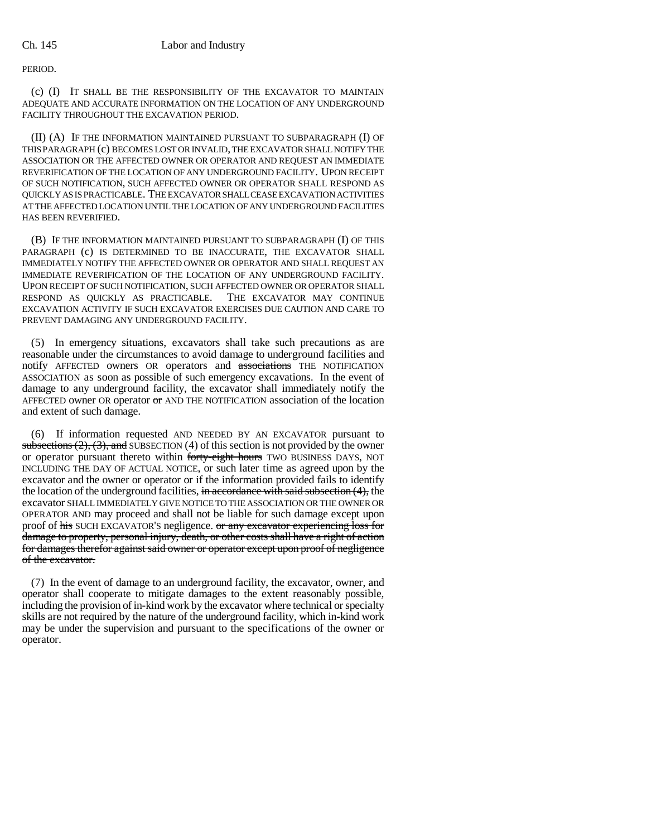PERIOD.

(c) (I) IT SHALL BE THE RESPONSIBILITY OF THE EXCAVATOR TO MAINTAIN ADEQUATE AND ACCURATE INFORMATION ON THE LOCATION OF ANY UNDERGROUND FACILITY THROUGHOUT THE EXCAVATION PERIOD.

(II) (A) IF THE INFORMATION MAINTAINED PURSUANT TO SUBPARAGRAPH (I) OF THIS PARAGRAPH (c) BECOMES LOST OR INVALID, THE EXCAVATOR SHALL NOTIFY THE ASSOCIATION OR THE AFFECTED OWNER OR OPERATOR AND REQUEST AN IMMEDIATE REVERIFICATION OF THE LOCATION OF ANY UNDERGROUND FACILITY. UPON RECEIPT OF SUCH NOTIFICATION, SUCH AFFECTED OWNER OR OPERATOR SHALL RESPOND AS QUICKLY AS IS PRACTICABLE. THE EXCAVATOR SHALL CEASE EXCAVATION ACTIVITIES AT THE AFFECTED LOCATION UNTIL THE LOCATION OF ANY UNDERGROUND FACILITIES HAS BEEN REVERIFIED.

(B) IF THE INFORMATION MAINTAINED PURSUANT TO SUBPARAGRAPH (I) OF THIS PARAGRAPH (c) IS DETERMINED TO BE INACCURATE, THE EXCAVATOR SHALL IMMEDIATELY NOTIFY THE AFFECTED OWNER OR OPERATOR AND SHALL REQUEST AN IMMEDIATE REVERIFICATION OF THE LOCATION OF ANY UNDERGROUND FACILITY. UPON RECEIPT OF SUCH NOTIFICATION, SUCH AFFECTED OWNER OR OPERATOR SHALL RESPOND AS QUICKLY AS PRACTICABLE. THE EXCAVATOR MAY CONTINUE EXCAVATION ACTIVITY IF SUCH EXCAVATOR EXERCISES DUE CAUTION AND CARE TO PREVENT DAMAGING ANY UNDERGROUND FACILITY.

(5) In emergency situations, excavators shall take such precautions as are reasonable under the circumstances to avoid damage to underground facilities and notify AFFECTED owners OR operators and associations THE NOTIFICATION ASSOCIATION as soon as possible of such emergency excavations. In the event of damage to any underground facility, the excavator shall immediately notify the AFFECTED owner OR operator or AND THE NOTIFICATION association of the location and extent of such damage.

(6) If information requested AND NEEDED BY AN EXCAVATOR pursuant to subsections  $(2)$ ,  $(3)$ , and SUBSECTION  $(4)$  of this section is not provided by the owner or operator pursuant thereto within forty-eight hours TWO BUSINESS DAYS, NOT INCLUDING THE DAY OF ACTUAL NOTICE, or such later time as agreed upon by the excavator and the owner or operator or if the information provided fails to identify the location of the underground facilities, in accordance with said subsection  $(4)$ , the excavator SHALL IMMEDIATELY GIVE NOTICE TO THE ASSOCIATION OR THE OWNER OR OPERATOR AND may proceed and shall not be liable for such damage except upon proof of his SUCH EXCAVATOR'S negligence. or any excavator experiencing loss for damage to property, personal injury, death, or other costs shall have a right of action for damages therefor against said owner or operator except upon proof of negligence of the excavator.

(7) In the event of damage to an underground facility, the excavator, owner, and operator shall cooperate to mitigate damages to the extent reasonably possible, including the provision of in-kind work by the excavator where technical or specialty skills are not required by the nature of the underground facility, which in-kind work may be under the supervision and pursuant to the specifications of the owner or operator.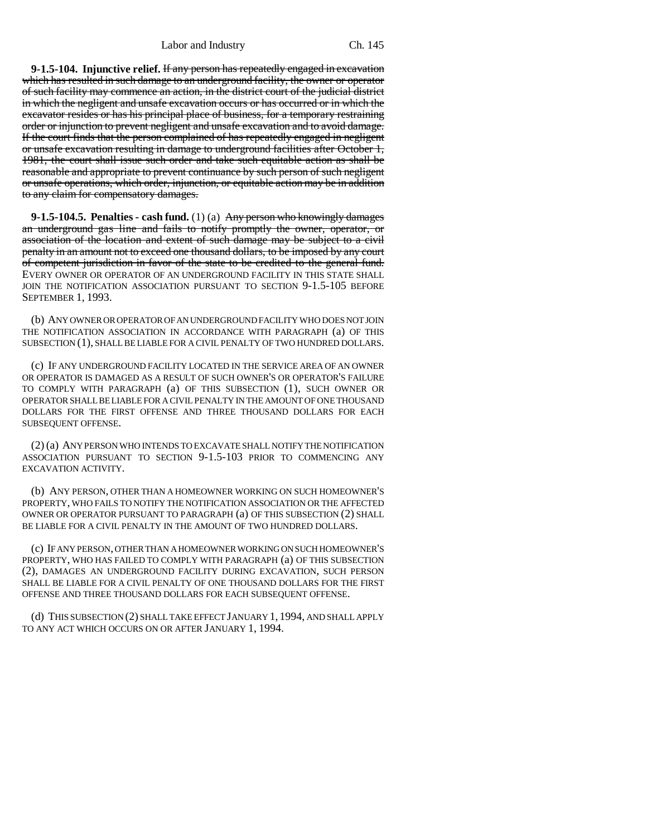**9-1.5-104. Injunctive relief.** If any person has repeatedly engaged in excavation which has resulted in such damage to an underground facility, the owner or operator of such facility may commence an action, in the district court of the judicial district in which the negligent and unsafe excavation occurs or has occurred or in which the excavator resides or has his principal place of business, for a temporary restraining order or injunction to prevent negligent and unsafe excavation and to avoid damage. If the court finds that the person complained of has repeatedly engaged in negligent or unsafe excavation resulting in damage to underground facilities after October 1, 1981, the court shall issue such order and take such equitable action as shall be reasonable and appropriate to prevent continuance by such person of such negligent or unsafe operations, which order, injunction, or equitable action may be in addition to any claim for compensatory damages.

**9-1.5-104.5. Penalties - cash fund.** (1) (a) Any person who knowingly damages an underground gas line and fails to notify promptly the owner, operator, or association of the location and extent of such damage may be subject to a civil penalty in an amount not to exceed one thousand dollars, to be imposed by any court of competent jurisdiction in favor of the state to be credited to the general fund. EVERY OWNER OR OPERATOR OF AN UNDERGROUND FACILITY IN THIS STATE SHALL JOIN THE NOTIFICATION ASSOCIATION PURSUANT TO SECTION 9-1.5-105 BEFORE SEPTEMBER 1, 1993.

(b) ANY OWNER OR OPERATOR OF AN UNDERGROUND FACILITY WHO DOES NOT JOIN THE NOTIFICATION ASSOCIATION IN ACCORDANCE WITH PARAGRAPH (a) OF THIS SUBSECTION (1), SHALL BE LIABLE FOR A CIVIL PENALTY OF TWO HUNDRED DOLLARS.

(c) IF ANY UNDERGROUND FACILITY LOCATED IN THE SERVICE AREA OF AN OWNER OR OPERATOR IS DAMAGED AS A RESULT OF SUCH OWNER'S OR OPERATOR'S FAILURE TO COMPLY WITH PARAGRAPH (a) OF THIS SUBSECTION (1), SUCH OWNER OR OPERATOR SHALL BE LIABLE FOR A CIVIL PENALTY IN THE AMOUNT OF ONE THOUSAND DOLLARS FOR THE FIRST OFFENSE AND THREE THOUSAND DOLLARS FOR EACH SUBSEQUENT OFFENSE.

(2) (a) ANY PERSON WHO INTENDS TO EXCAVATE SHALL NOTIFY THE NOTIFICATION ASSOCIATION PURSUANT TO SECTION 9-1.5-103 PRIOR TO COMMENCING ANY EXCAVATION ACTIVITY.

(b) ANY PERSON, OTHER THAN A HOMEOWNER WORKING ON SUCH HOMEOWNER'S PROPERTY, WHO FAILS TO NOTIFY THE NOTIFICATION ASSOCIATION OR THE AFFECTED OWNER OR OPERATOR PURSUANT TO PARAGRAPH (a) OF THIS SUBSECTION (2) SHALL BE LIABLE FOR A CIVIL PENALTY IN THE AMOUNT OF TWO HUNDRED DOLLARS.

(c) IF ANY PERSON, OTHER THAN A HOMEOWNER WORKING ON SUCH HOMEOWNER'S PROPERTY, WHO HAS FAILED TO COMPLY WITH PARAGRAPH (a) OF THIS SUBSECTION (2), DAMAGES AN UNDERGROUND FACILITY DURING EXCAVATION, SUCH PERSON SHALL BE LIABLE FOR A CIVIL PENALTY OF ONE THOUSAND DOLLARS FOR THE FIRST OFFENSE AND THREE THOUSAND DOLLARS FOR EACH SUBSEQUENT OFFENSE.

(d) THIS SUBSECTION (2) SHALL TAKE EFFECT JANUARY 1, 1994, AND SHALL APPLY TO ANY ACT WHICH OCCURS ON OR AFTER JANUARY 1, 1994.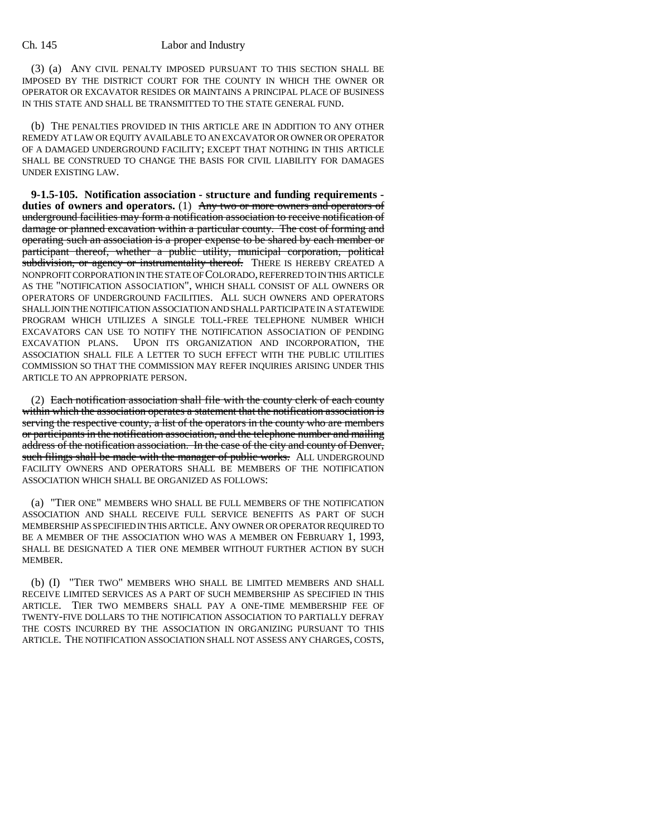### Ch. 145 Labor and Industry

(3) (a) ANY CIVIL PENALTY IMPOSED PURSUANT TO THIS SECTION SHALL BE IMPOSED BY THE DISTRICT COURT FOR THE COUNTY IN WHICH THE OWNER OR OPERATOR OR EXCAVATOR RESIDES OR MAINTAINS A PRINCIPAL PLACE OF BUSINESS IN THIS STATE AND SHALL BE TRANSMITTED TO THE STATE GENERAL FUND.

(b) THE PENALTIES PROVIDED IN THIS ARTICLE ARE IN ADDITION TO ANY OTHER REMEDY AT LAW OR EQUITY AVAILABLE TO AN EXCAVATOR OR OWNER OR OPERATOR OF A DAMAGED UNDERGROUND FACILITY; EXCEPT THAT NOTHING IN THIS ARTICLE SHALL BE CONSTRUED TO CHANGE THE BASIS FOR CIVIL LIABILITY FOR DAMAGES UNDER EXISTING LAW.

**9-1.5-105. Notification association - structure and funding requirements duties of owners and operators.** (1) Any two or more owners and operators of underground facilities may form a notification association to receive notification of damage or planned excavation within a particular county. The cost of forming and operating such an association is a proper expense to be shared by each member or participant thereof, whether a public utility, municipal corporation, political subdivision, or agency or instrumentality thereof. THERE IS HEREBY CREATED A NONPROFIT CORPORATION IN THE STATE OF COLORADO, REFERRED TO IN THIS ARTICLE AS THE "NOTIFICATION ASSOCIATION", WHICH SHALL CONSIST OF ALL OWNERS OR OPERATORS OF UNDERGROUND FACILITIES. ALL SUCH OWNERS AND OPERATORS SHALL JOIN THE NOTIFICATION ASSOCIATION AND SHALL PARTICIPATE IN A STATEWIDE PROGRAM WHICH UTILIZES A SINGLE TOLL-FREE TELEPHONE NUMBER WHICH EXCAVATORS CAN USE TO NOTIFY THE NOTIFICATION ASSOCIATION OF PENDING EXCAVATION PLANS. UPON ITS ORGANIZATION AND INCORPORATION, THE ASSOCIATION SHALL FILE A LETTER TO SUCH EFFECT WITH THE PUBLIC UTILITIES COMMISSION SO THAT THE COMMISSION MAY REFER INQUIRIES ARISING UNDER THIS ARTICLE TO AN APPROPRIATE PERSON.

(2) Each notification association shall file with the county clerk of each county within which the association operates a statement that the notification association is serving the respective county, a list of the operators in the county who are members or participants in the notification association, and the telephone number and mailing address of the notification association. In the case of the city and county of Denver, such filings shall be made with the manager of public works. ALL UNDERGROUND FACILITY OWNERS AND OPERATORS SHALL BE MEMBERS OF THE NOTIFICATION ASSOCIATION WHICH SHALL BE ORGANIZED AS FOLLOWS:

(a) "TIER ONE" MEMBERS WHO SHALL BE FULL MEMBERS OF THE NOTIFICATION ASSOCIATION AND SHALL RECEIVE FULL SERVICE BENEFITS AS PART OF SUCH MEMBERSHIP AS SPECIFIED IN THIS ARTICLE. ANY OWNER OR OPERATOR REQUIRED TO BE A MEMBER OF THE ASSOCIATION WHO WAS A MEMBER ON FEBRUARY 1, 1993, SHALL BE DESIGNATED A TIER ONE MEMBER WITHOUT FURTHER ACTION BY SUCH MEMBER.

(b) (I) "TIER TWO" MEMBERS WHO SHALL BE LIMITED MEMBERS AND SHALL RECEIVE LIMITED SERVICES AS A PART OF SUCH MEMBERSHIP AS SPECIFIED IN THIS ARTICLE. TIER TWO MEMBERS SHALL PAY A ONE-TIME MEMBERSHIP FEE OF TWENTY-FIVE DOLLARS TO THE NOTIFICATION ASSOCIATION TO PARTIALLY DEFRAY THE COSTS INCURRED BY THE ASSOCIATION IN ORGANIZING PURSUANT TO THIS ARTICLE. THE NOTIFICATION ASSOCIATION SHALL NOT ASSESS ANY CHARGES, COSTS,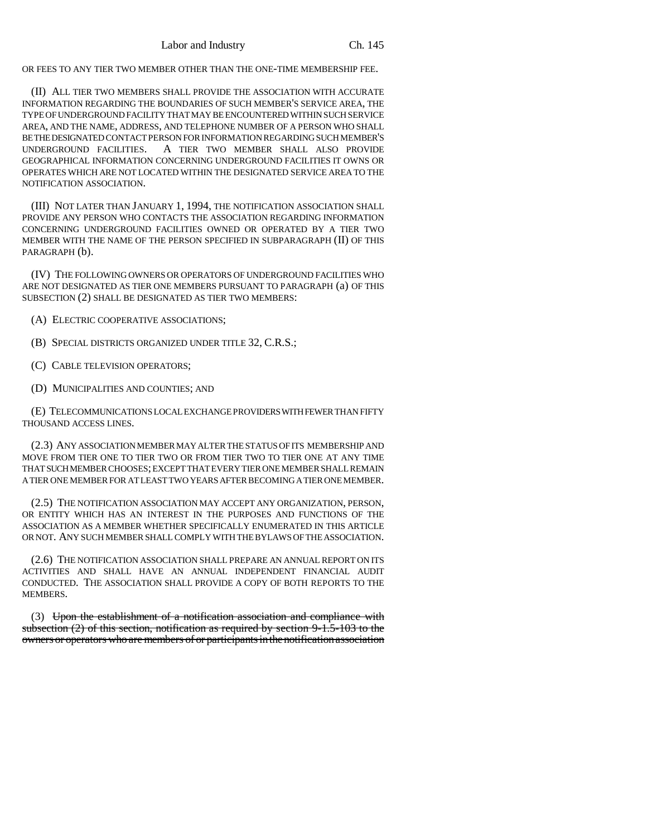OR FEES TO ANY TIER TWO MEMBER OTHER THAN THE ONE-TIME MEMBERSHIP FEE.

(II) ALL TIER TWO MEMBERS SHALL PROVIDE THE ASSOCIATION WITH ACCURATE INFORMATION REGARDING THE BOUNDARIES OF SUCH MEMBER'S SERVICE AREA, THE TYPE OF UNDERGROUND FACILITY THAT MAY BE ENCOUNTERED WITHIN SUCH SERVICE AREA, AND THE NAME, ADDRESS, AND TELEPHONE NUMBER OF A PERSON WHO SHALL BE THE DESIGNATED CONTACT PERSON FOR INFORMATION REGARDING SUCH MEMBER'S UNDERGROUND FACILITIES. A TIER TWO MEMBER SHALL ALSO PROVIDE GEOGRAPHICAL INFORMATION CONCERNING UNDERGROUND FACILITIES IT OWNS OR OPERATES WHICH ARE NOT LOCATED WITHIN THE DESIGNATED SERVICE AREA TO THE NOTIFICATION ASSOCIATION.

(III) NOT LATER THAN JANUARY 1, 1994, THE NOTIFICATION ASSOCIATION SHALL PROVIDE ANY PERSON WHO CONTACTS THE ASSOCIATION REGARDING INFORMATION CONCERNING UNDERGROUND FACILITIES OWNED OR OPERATED BY A TIER TWO MEMBER WITH THE NAME OF THE PERSON SPECIFIED IN SUBPARAGRAPH (II) OF THIS PARAGRAPH (b).

(IV) THE FOLLOWING OWNERS OR OPERATORS OF UNDERGROUND FACILITIES WHO ARE NOT DESIGNATED AS TIER ONE MEMBERS PURSUANT TO PARAGRAPH (a) OF THIS SUBSECTION (2) SHALL BE DESIGNATED AS TIER TWO MEMBERS:

(A) ELECTRIC COOPERATIVE ASSOCIATIONS;

(B) SPECIAL DISTRICTS ORGANIZED UNDER TITLE 32, C.R.S.;

(C) CABLE TELEVISION OPERATORS;

(D) MUNICIPALITIES AND COUNTIES; AND

(E) TELECOMMUNICATIONS LOCAL EXCHANGE PROVIDERS WITH FEWER THAN FIFTY THOUSAND ACCESS LINES.

(2.3) ANY ASSOCIATION MEMBER MAY ALTER THE STATUS OF ITS MEMBERSHIP AND MOVE FROM TIER ONE TO TIER TWO OR FROM TIER TWO TO TIER ONE AT ANY TIME THAT SUCH MEMBER CHOOSES; EXCEPT THAT EVERY TIER ONE MEMBER SHALL REMAIN A TIER ONE MEMBER FOR AT LEAST TWO YEARS AFTER BECOMING A TIER ONE MEMBER.

(2.5) THE NOTIFICATION ASSOCIATION MAY ACCEPT ANY ORGANIZATION, PERSON, OR ENTITY WHICH HAS AN INTEREST IN THE PURPOSES AND FUNCTIONS OF THE ASSOCIATION AS A MEMBER WHETHER SPECIFICALLY ENUMERATED IN THIS ARTICLE OR NOT. ANY SUCH MEMBER SHALL COMPLY WITH THE BYLAWS OF THE ASSOCIATION.

(2.6) THE NOTIFICATION ASSOCIATION SHALL PREPARE AN ANNUAL REPORT ON ITS ACTIVITIES AND SHALL HAVE AN ANNUAL INDEPENDENT FINANCIAL AUDIT CONDUCTED. THE ASSOCIATION SHALL PROVIDE A COPY OF BOTH REPORTS TO THE MEMBERS.

(3) Upon the establishment of a notification association and compliance with subsection (2) of this section, notification as required by section 9-1.5-103 to the owners or operators who are members of or participants in the notification association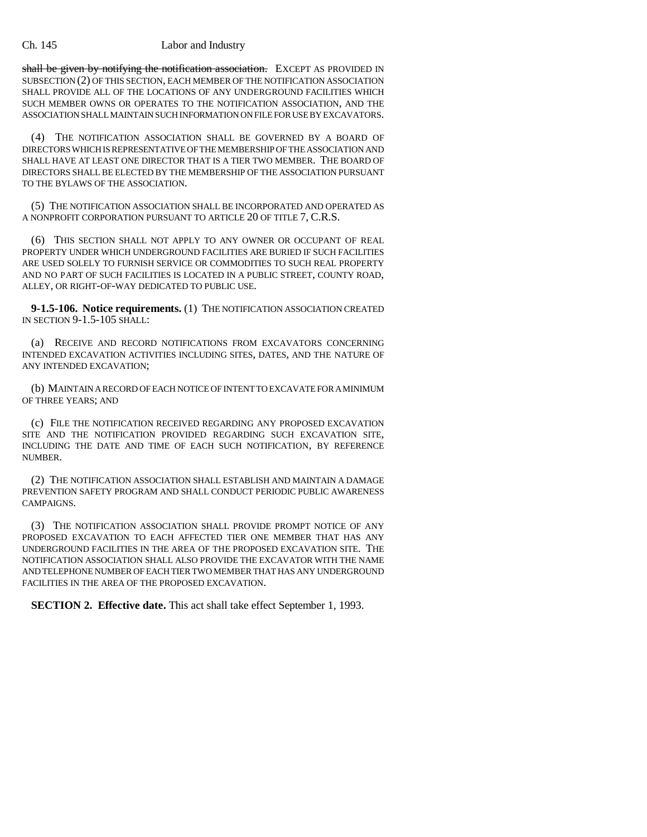### Ch. 145 Labor and Industry

shall be given by notifying the notification association. EXCEPT AS PROVIDED IN SUBSECTION (2) OF THIS SECTION, EACH MEMBER OF THE NOTIFICATION ASSOCIATION SHALL PROVIDE ALL OF THE LOCATIONS OF ANY UNDERGROUND FACILITIES WHICH SUCH MEMBER OWNS OR OPERATES TO THE NOTIFICATION ASSOCIATION, AND THE ASSOCIATION SHALL MAINTAIN SUCH INFORMATION ON FILE FOR USE BY EXCAVATORS.

(4) THE NOTIFICATION ASSOCIATION SHALL BE GOVERNED BY A BOARD OF DIRECTORS WHICH IS REPRESENTATIVE OF THE MEMBERSHIP OF THE ASSOCIATION AND SHALL HAVE AT LEAST ONE DIRECTOR THAT IS A TIER TWO MEMBER. THE BOARD OF DIRECTORS SHALL BE ELECTED BY THE MEMBERSHIP OF THE ASSOCIATION PURSUANT TO THE BYLAWS OF THE ASSOCIATION.

(5) THE NOTIFICATION ASSOCIATION SHALL BE INCORPORATED AND OPERATED AS A NONPROFIT CORPORATION PURSUANT TO ARTICLE 20 OF TITLE 7, C.R.S.

(6) THIS SECTION SHALL NOT APPLY TO ANY OWNER OR OCCUPANT OF REAL PROPERTY UNDER WHICH UNDERGROUND FACILITIES ARE BURIED IF SUCH FACILITIES ARE USED SOLELY TO FURNISH SERVICE OR COMMODITIES TO SUCH REAL PROPERTY AND NO PART OF SUCH FACILITIES IS LOCATED IN A PUBLIC STREET, COUNTY ROAD, ALLEY, OR RIGHT-OF-WAY DEDICATED TO PUBLIC USE.

**9-1.5-106. Notice requirements.** (1) THE NOTIFICATION ASSOCIATION CREATED IN SECTION 9-1.5-105 SHALL:

(a) RECEIVE AND RECORD NOTIFICATIONS FROM EXCAVATORS CONCERNING INTENDED EXCAVATION ACTIVITIES INCLUDING SITES, DATES, AND THE NATURE OF ANY INTENDED EXCAVATION;

(b) MAINTAIN A RECORD OF EACH NOTICE OF INTENT TO EXCAVATE FOR A MINIMUM OF THREE YEARS; AND

(c) FILE THE NOTIFICATION RECEIVED REGARDING ANY PROPOSED EXCAVATION SITE AND THE NOTIFICATION PROVIDED REGARDING SUCH EXCAVATION SITE, INCLUDING THE DATE AND TIME OF EACH SUCH NOTIFICATION, BY REFERENCE NUMBER.

(2) THE NOTIFICATION ASSOCIATION SHALL ESTABLISH AND MAINTAIN A DAMAGE PREVENTION SAFETY PROGRAM AND SHALL CONDUCT PERIODIC PUBLIC AWARENESS CAMPAIGNS.

(3) THE NOTIFICATION ASSOCIATION SHALL PROVIDE PROMPT NOTICE OF ANY PROPOSED EXCAVATION TO EACH AFFECTED TIER ONE MEMBER THAT HAS ANY UNDERGROUND FACILITIES IN THE AREA OF THE PROPOSED EXCAVATION SITE. THE NOTIFICATION ASSOCIATION SHALL ALSO PROVIDE THE EXCAVATOR WITH THE NAME AND TELEPHONE NUMBER OF EACH TIER TWO MEMBER THAT HAS ANY UNDERGROUND FACILITIES IN THE AREA OF THE PROPOSED EXCAVATION.

**SECTION 2. Effective date.** This act shall take effect September 1, 1993.